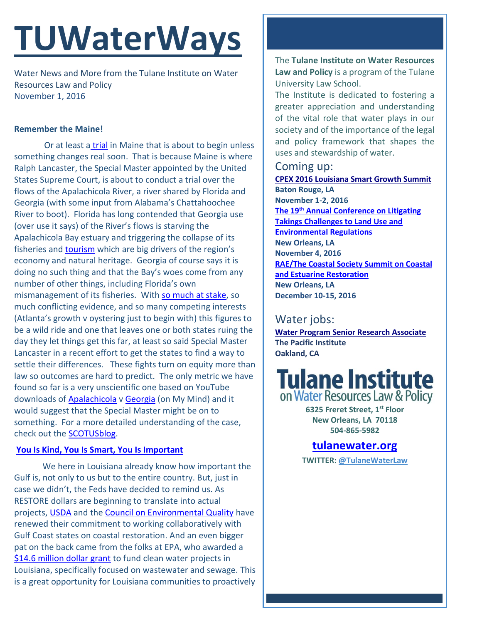# **TUWaterWays**

Water News and More from the Tulane Institute on Water Resources Law and Policy November 1, 2016

### **Remember the Maine!**

Or at least a [trial](http://www.eenews.net/greenwire/2016/10/31/stories/1060045034) in Maine that is about to begin unless something changes real soon. That is because Maine is where Ralph Lancaster, the Special Master appointed by the United States Supreme Court, is about to conduct a trial over the flows of the Apalachicola River, a river shared by Florida and Georgia (with some input from Alabama's Chattahoochee River to boot). Florida has long contended that Georgia use (over use it says) of the River's flows is starving the Apalachicola Bay estuary and triggering the collapse of its fisheries and [tourism](https://www.youtube.com/watch?v=K3D1aINV3Xs) which are big drivers of the region's economy and natural heritage. Georgia of course says it is doing no such thing and that the Bay's woes come from any number of other things, including Florida's own mismanagement of its fisheries. With [so much at stake,](http://www.apalachtimes.com/news/20161030/florida-georgia-water-wars-trial-starts-monday) so much conflicting evidence, and so many competing interests (Atlanta's growth v oystering just to begin with) this figures to be a wild ride and one that leaves one or both states ruing the day they let things get this far, at least so said Special Master Lancaster in a recent effort to get the states to find a way to settle their differences. These fights turn on equity more than law so outcomes are hard to predict. The only metric we have found so far is a very unscientific one based on YouTube downloads of [Apalachicola](https://www.youtube.com/watch?v=QJpv6mHIum8) v [Georgia](https://www.youtube.com/watch?v=fRgWBN8yt_E) (on My Mind) and it would suggest that the Special Master might be on to something. For a more detailed understanding of the case, check out the [SCOTUSblog.](http://www.scotusblog.com/case-files/cases/florida-v-georgia-2/)

### **[You Is Kind, You Is Smart, You Is Important](https://www.youtube.com/watch?v=3H50llsHm3k)**

We here in Louisiana already know how important the Gulf is, not only to us but to the entire country. But, just in case we didn't, the Feds have decided to remind us. As RESTORE dollars are beginning to translate into actual projects, [USDA](http://blogs.usda.gov/2016/10/20/gulf-of-mexico-communities-depend-on-a-healthy-gulf/) and the [Council on Environmental Quality](https://www.whitehouse.gov/sites/default/files/omb/memoranda/2017/m-17-01.pdf) have renewed their commitment to working collaboratively with Gulf Coast states on coastal restoration. And an even bigger pat on the back came from the folks at EPA, who awarded a [\\$14.6 million dollar grant](https://www.epa.gov/newsreleases/epa-provides-over-146m-financial-assistance-protect-louisianas-waters) to fund clean water projects in Louisiana, specifically focused on wastewater and sewage. This is a great opportunity for Louisiana communities to proactively

The **Tulane Institute on Water Resources Law and Policy** is a program of the Tulane University Law School.

The Institute is dedicated to fostering a greater appreciation and understanding of the vital role that water plays in our society and of the importance of the legal and policy framework that shapes the uses and stewardship of water.

## Coming up:

**[CPEX 2016 Louisiana Smart Growth Summit](http://summit.cpex.org/) Baton Rouge, LA November 1-2, 2016 The 19th [Annual Conference on Litigating](http://www.vermontlaw.edu/news-and-events/events/takings-conference)  [Takings Challenges to Land Use and](http://www.vermontlaw.edu/news-and-events/events/takings-conference)  [Environmental Regulations](http://www.vermontlaw.edu/news-and-events/events/takings-conference) New Orleans, LA November 4, 2016 [RAE/The Coastal Society Summit on Coastal](https://www.estuaries.org/Summit)  [and Estuarine Restoration](https://www.estuaries.org/Summit) New Orleans, LA December 10-15, 2016**

# Water jobs:

**[Water Program Senior Research Associate](http://pacinst.org/app/uploads/2016/10/PI_WaterSrRA_Oct2016.pdf) The Pacific Institute Oakland, CA**



**6325 Freret Street, 1st Floor New Orleans, LA 70118 504-865-5982** 

# **[tulanewater.org](file:///C:/Users/waterlaw/Downloads/tulanewater.org)**

**TWITTER: [@TulaneWaterLaw](http://www.twitter.com/TulaneWaterLaw)**